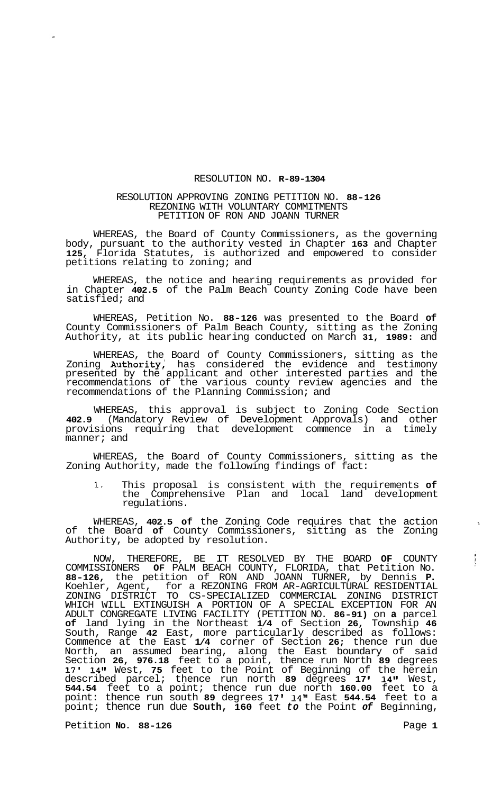## RESOLUTION NO. **R-89-1304**

## RESOLUTION APPROVING ZONING PETITION NO. **88-126**  REZONING WITH VOLUNTARY COMMITMENTS PETITION OF RON AND JOANN TURNER

WHEREAS, the Board of County Commissioners, as the governing body, pursuant to the authority vested in Chapter **163** and Chapter **125,** Florida Statutes, is authorized and empowered to consider petitions relating to zoning; and

WHEREAS, the notice and hearing requirements as provided for in Chapter **402.5** of the Palm Beach County Zoning Code have been satisfied; and

WHEREAS, Petition No. **88-126** was presented to the Board **of**  County Commissioners of Palm Beach County, sitting as the Zoning Authority, at its public hearing conducted on March **31, 1989:** and

WHEREAS, the Board of County Commissioners, sitting as the Zoning Authority, has considered the evidence and testimony presented by the applicant and other interested parties and the recommendations of the various county review agencies and the recommendations of the Planning Commission; and

WHEREAS, this approval is subject to Zoning Code Section **402.9** (Mandatory Review of Development Approvals) and other provisions requiring that development commence in a timely manner; and

WHEREAS, the Board of County Commissioners, sitting as the Zoning Authority, made the following findings of fact:

**1.** This proposal is consistent with the requirements **of**  the Comprehensive Plan and local land development regulations.

WHEREAS, **402.5 of** the Zoning Code requires that the action **<sup>1</sup>** of the Board **of** County Commissioners, sitting as the Zoning Authority, be adopted by resolution.

NOW, THEREFORE, BE IT RESOLVED BY THE BOARD **OF** COUNTY COMMISSIONERS **OF** PALM BEACH COUNTY, FLORIDA, that Petition No. **88-126,** the petition of RON AND JOANN TURNER, by Dennis **P.**  Koehler, Agent, for a REZONING FROM AR-AGRICULTURAL RESIDENTIAL ZONING DISTRICT TO CS-SPECIALIZED COMMERCIAL ZONING DISTRICT WHICH WILL EXTINGUISH **A** PORTION OF A SPECIAL EXCEPTION FOR AN ADULT CONGREGATE LIVING FACILITY (PETITION NO. **86-91)** on **a** parcel **of** land lying in the Northeast **1/4** of Section **26,** Township **46**  South, Range **42** East, more particularly described as follows: Commence at the East **1/4** corner of Section **26;** thence run due North, an assumed bearing, along the East boundary of said Section **26, 976.18** feet to a point, thence run North **89** degrees **17' 14"** West, **75** feet to the Point of Beginning of the herein described parcel; thence run north **89** degrees **17 I 14"** West, **544.54** feet to a point; thence run due north **160.00** feet to a point: thence run south **89** degrees 17l **14"** East **544.54** feet to a point; thence run due **South, 160** feet *to* the Point *of* Beginning,

Petition **No.** 88-126 **Page 1** 

 $\frac{1}{2}$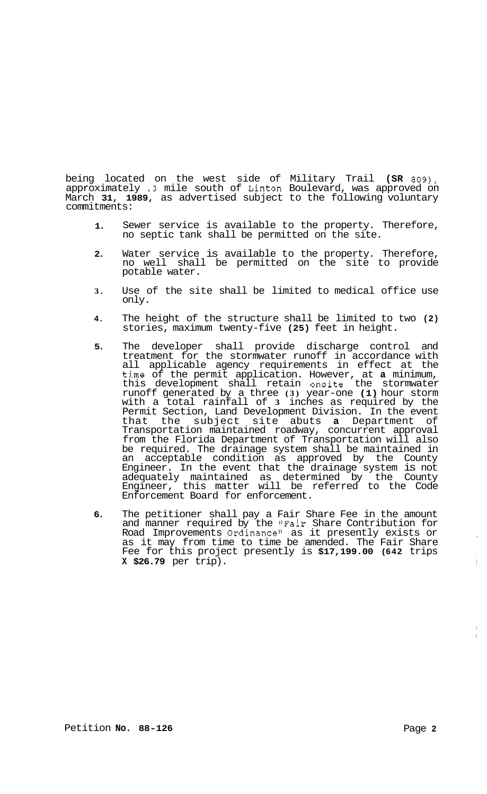being located on the west side of Military Trail **(SR 809),**  approximately **.3** mile south of Linton Boulevard, was approved on March **31, 1989,** as advertised subject to the following voluntary commitments:

- **1.**  Sewer service is available to the property. Therefore, no septic tank shall be permitted on the site.
- **2.**  Water service is available to the property. Therefore, no well shall be permitted on the site to provide potable water.
- **3.**  Use of the site shall be limited to medical office use only.
- **4.**  The height of the structure shall be limited to two **(2)**  stories, maximum twenty-five **(25)** feet in height.
- **5.**  The developer shall provide discharge control and treatment for the stormwater runoff in accordance with all applicable agency requirements in effect at the time of the permit application. However, at **a** minimum, this development shall retain onsite the stormwater runoff generated by a three **(3)** year-one **(1)** hour storm with a total rainfall of **3** inches as required by the Permit Section, Land Development Division. In the event that the subject site abuts **a** Department of Transportation maintained roadway, concurrent approval from the Florida Department of Transportation will also be required. The drainage system shall be maintained in an acceptable condition as approved by the County Engineer. In the event that the drainage system is not adequately maintained as determined by the County Engineer, this matter will be referred to the Code Enforcement Board for enforcement.
- **6.**  The petitioner shall pay a Fair Share Fee in the amount and manner required by the "Fair Share Contribution for Road Improvements Ordinance" as it presently exists or as it may from time to time be amended. The Fair Share Fee for this project presently is **\$17,199.00 (642** trips **X \$26.79** per trip).

 $\sim$ 

 $\langle \rangle$ 

 $\mathbb{R}^2$